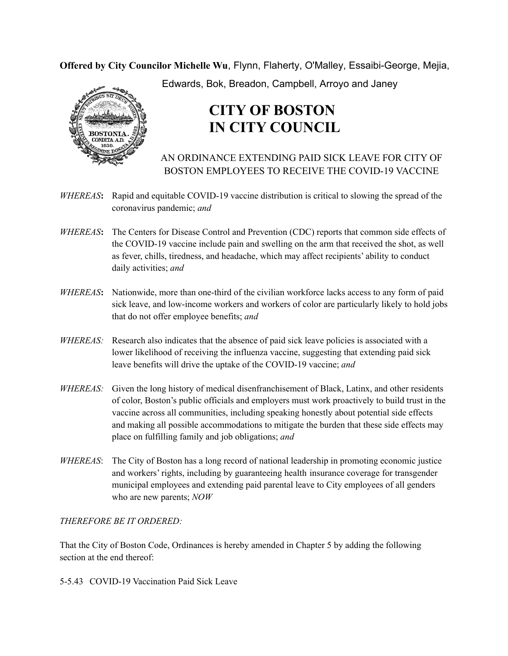**Offered by City Councilor Michelle Wu** , Flynn, Flaherty, O'Malley, Essaibi-George, Mejia,



Edwards, Bok, Breadon, Campbell, Arroyo and Janey

## **CITY OF BOSTON IN CITY COUNCIL**

AN ORDINANCE EXTENDING PAID SICK LEAVE FOR CITY OF BOSTON EMPLOYEES TO RECEIVE THE COVID-19 VACCINE

- *WHEREAS***:** Rapid and equitable COVID-19 vaccine distribution is critical to slowing the spread of the coronavirus pandemic; *and*
- *WHEREAS***:** The Centers for Disease Control and Prevention (CDC) reports that common side effects of the COVID-19 vaccine include pain and swelling on the arm that received the shot, as well as fever, chills, tiredness, and headache, which may affect recipients' ability to conduct daily activities; *and*
- *WHEREAS***:** Nationwide, more than one-third of the civilian workforce lacks access to any form of paid sick leave, and low-income workers and workers of color are particularly likely to hold jobs that do not offer employee benefits; *and*
- *WHEREAS:* Research also indicates that the absence of paid sick leave policies is associated with a lower likelihood of receiving the influenza vaccine, suggesting that extending paid sick leave benefits will drive the uptake of the COVID-19 vaccine; *and*
- *WHEREAS:* Given the long history of medical disenfranchisement of Black, Latinx, and other residents of color, Boston's public officials and employers must work proactively to build trust in the vaccine across all communities, including speaking honestly about potential side effects and making all possible accommodations to mitigate the burden that these side effects may place on fulfilling family and job obligations; *and*
- *WHEREAS*: The City of Boston has a long record of national leadership in promoting economic justice and workers' rights, including by guaranteeing health insurance coverage for transgender municipal employees and extending paid parental leave to City employees of all genders who are new parents; *NOW*

*THEREFORE BE IT ORDERED:*

That the City of Boston Code, Ordinances is hereby amended in Chapter 5 by adding the following section at the end thereof:

5-5.43 COVID-19 Vaccination Paid Sick Leave